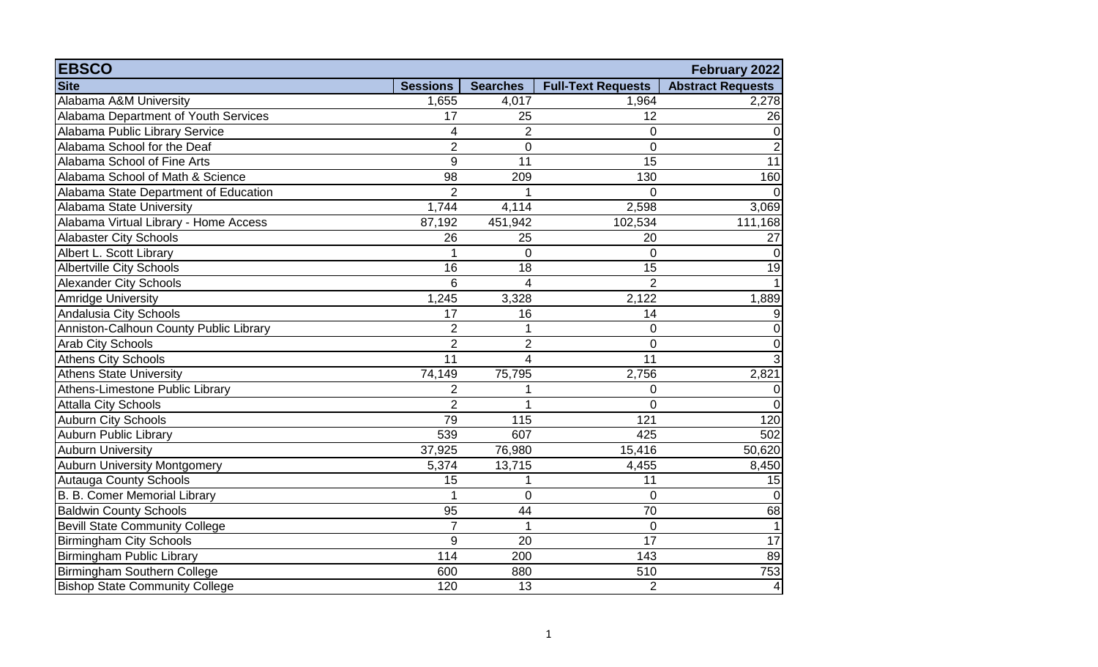| <b>EBSCO</b>                           |                 |                 |                           | February 2022            |
|----------------------------------------|-----------------|-----------------|---------------------------|--------------------------|
| <b>Site</b>                            | <b>Sessions</b> | <b>Searches</b> | <b>Full-Text Requests</b> | <b>Abstract Requests</b> |
| Alabama A&M University                 | 1,655           | 4,017           | 1,964                     | 2,278                    |
| Alabama Department of Youth Services   | 17              | 25              | 12                        | 26                       |
| Alabama Public Library Service         | 4               | $\overline{2}$  | 0                         | $\pmb{0}$                |
| Alabama School for the Deaf            | $\overline{2}$  | 0               | $\overline{0}$            | $\overline{2}$           |
| Alabama School of Fine Arts            | 9               | 11              | 15                        | 11                       |
| Alabama School of Math & Science       | 98              | 209             | 130                       | 160                      |
| Alabama State Department of Education  | $\overline{2}$  | 1               | $\overline{0}$            | $\Omega$                 |
| Alabama State University               | 1,744           | 4,114           | 2,598                     | 3,069                    |
| Alabama Virtual Library - Home Access  | 87,192          | 451,942         | 102,534                   | 111,168                  |
| Alabaster City Schools                 | 26              | 25              | 20                        | 27                       |
| Albert L. Scott Library                |                 | $\overline{0}$  | $\mathbf 0$               | $\mathbf 0$              |
| <b>Albertville City Schools</b>        | 16              | 18              | 15                        | 19                       |
| <b>Alexander City Schools</b>          | 6               | $\overline{4}$  | $\overline{2}$            | $\mathbf{1}$             |
| Amridge University                     | 1,245           | 3,328           | 2,122                     | 1,889                    |
| Andalusia City Schools                 | 17              | 16              | 14                        | 9                        |
| Anniston-Calhoun County Public Library | $\overline{2}$  | 1               | $\overline{0}$            | $\pmb{0}$                |
| <b>Arab City Schools</b>               | $\overline{2}$  | $\overline{2}$  | $\overline{0}$            | $\pmb{0}$                |
| <b>Athens City Schools</b>             | 11              | 4               | 11                        | $\overline{3}$           |
| <b>Athens State University</b>         | 74,149          | 75,795          | 2,756                     | 2,821                    |
| Athens-Limestone Public Library        | $\overline{2}$  | 1               | $\overline{0}$            | $\pmb{0}$                |
| <b>Attalla City Schools</b>            | $\overline{2}$  | 1               | $\Omega$                  | $\Omega$                 |
| <b>Auburn City Schools</b>             | 79              | 115             | 121                       | 120                      |
| Auburn Public Library                  | 539             | 607             | 425                       | 502                      |
| <b>Auburn University</b>               | 37,925          | 76,980          | 15,416                    | 50,620                   |
| <b>Auburn University Montgomery</b>    | 5,374           | 13,715          | 4,455                     | 8,450                    |
| <b>Autauga County Schools</b>          | 15              | 1               | 11                        | 15                       |
| B. B. Comer Memorial Library           |                 | $\mathbf 0$     | 0                         | $\mathbf 0$              |
| <b>Baldwin County Schools</b>          | 95              | 44              | 70                        | 68                       |
| <b>Bevill State Community College</b>  | $\overline{7}$  | $\mathbf{1}$    | $\mathbf 0$               | $\mathbf{1}$             |
| <b>Birmingham City Schools</b>         | 9               | 20              | 17                        | 17                       |
| Birmingham Public Library              | 114             | 200             | 143                       | 89                       |
| Birmingham Southern College            | 600             | 880             | 510                       | 753                      |
| <b>Bishop State Community College</b>  | 120             | 13              | $\overline{2}$            | $\vert 4 \vert$          |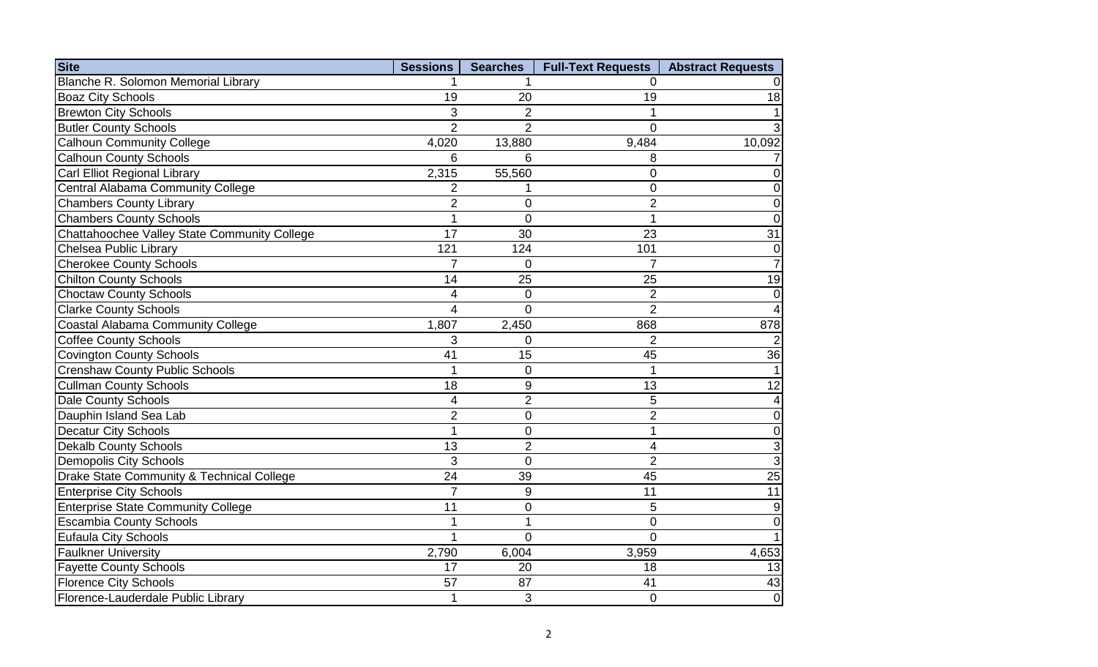| <b>Site</b>                                  | <b>Sessions</b> | <b>Searches</b> | <b>Full-Text Requests</b> | <b>Abstract Requests</b> |
|----------------------------------------------|-----------------|-----------------|---------------------------|--------------------------|
| Blanche R. Solomon Memorial Library          |                 |                 | $\Omega$                  | 0                        |
| <b>Boaz City Schools</b>                     | 19              | 20              | 19                        | 18                       |
| <b>Brewton City Schools</b>                  | 3               | 2               |                           | 1                        |
| <b>Butler County Schools</b>                 | $\overline{2}$  | $\overline{2}$  | 0                         | 3                        |
| <b>Calhoun Community College</b>             | 4,020           | 13,880          | 9,484                     | 10,092                   |
| <b>Calhoun County Schools</b>                | 6               | 6               | 8                         | $\overline{7}$           |
| Carl Elliot Regional Library                 | 2,315           | 55,560          | 0                         | $\pmb{0}$                |
| Central Alabama Community College            | $\overline{2}$  | 1               | $\overline{0}$            | 0                        |
| <b>Chambers County Library</b>               | $\overline{2}$  | 0               | $\overline{2}$            | 0                        |
| <b>Chambers County Schools</b>               |                 | $\overline{0}$  | 1                         | $\overline{0}$           |
| Chattahoochee Valley State Community College | 17              | 30              | 23                        | 31                       |
| Chelsea Public Library                       | 121             | 124             | 101                       | $\pmb{0}$                |
| <b>Cherokee County Schools</b>               | 7               | 0               | $\overline{7}$            | $\overline{7}$           |
| <b>Chilton County Schools</b>                | 14              | 25              | 25                        | 19                       |
| <b>Choctaw County Schools</b>                | 4               | $\mathbf 0$     | $\overline{2}$            | $\pmb{0}$                |
| <b>Clarke County Schools</b>                 | 4               | $\overline{0}$  | $\overline{2}$            | $\overline{\mathbf{4}}$  |
| Coastal Alabama Community College            | 1,807           | 2,450           | 868                       | 878                      |
| <b>Coffee County Schools</b>                 | 3               | $\overline{0}$  | $\overline{2}$            | $\mathbf 2$              |
| <b>Covington County Schools</b>              | 41              | 15              | 45                        | 36                       |
| <b>Crenshaw County Public Schools</b>        | 1               | $\mathbf 0$     |                           | 1                        |
| <b>Cullman County Schools</b>                | 18              | 9               | 13                        | 12                       |
| <b>Dale County Schools</b>                   | 4               | $\overline{2}$  | 5                         | $\overline{\mathbf{4}}$  |
| Dauphin Island Sea Lab                       | $\overline{2}$  | 0               | $\overline{2}$            | $\mathbf 0$              |
| Decatur City Schools                         | 1               | 0               | 1                         | $\mathsf{O}\xspace$      |
| <b>Dekalb County Schools</b>                 | 13              | $\overline{2}$  | 4                         | $\overline{3}$           |
| <b>Demopolis City Schools</b>                | 3               | $\mathbf 0$     | $\overline{2}$            | $\overline{3}$           |
| Drake State Community & Technical College    | 24              | 39              | 45                        | $\overline{25}$          |
| <b>Enterprise City Schools</b>               | $\overline{7}$  | $9\,$           | 11                        | 11                       |
| <b>Enterprise State Community College</b>    | 11              | 0               | 5                         | $\boldsymbol{9}$         |
| <b>Escambia County Schools</b>               | 1               | 1               | $\mathbf 0$               | $\mathbf 0$              |
| <b>Eufaula City Schools</b>                  | 1               | $\Omega$        | $\Omega$                  | 1                        |
| <b>Faulkner University</b>                   | 2,790           | 6,004           | 3,959                     | 4,653                    |
| <b>Fayette County Schools</b>                | 17              | 20              | 18                        | 13                       |
| <b>Florence City Schools</b>                 | 57              | 87              | 41                        | 43                       |
| Florence-Lauderdale Public Library           | 1               | 3               | $\overline{0}$            | $\overline{0}$           |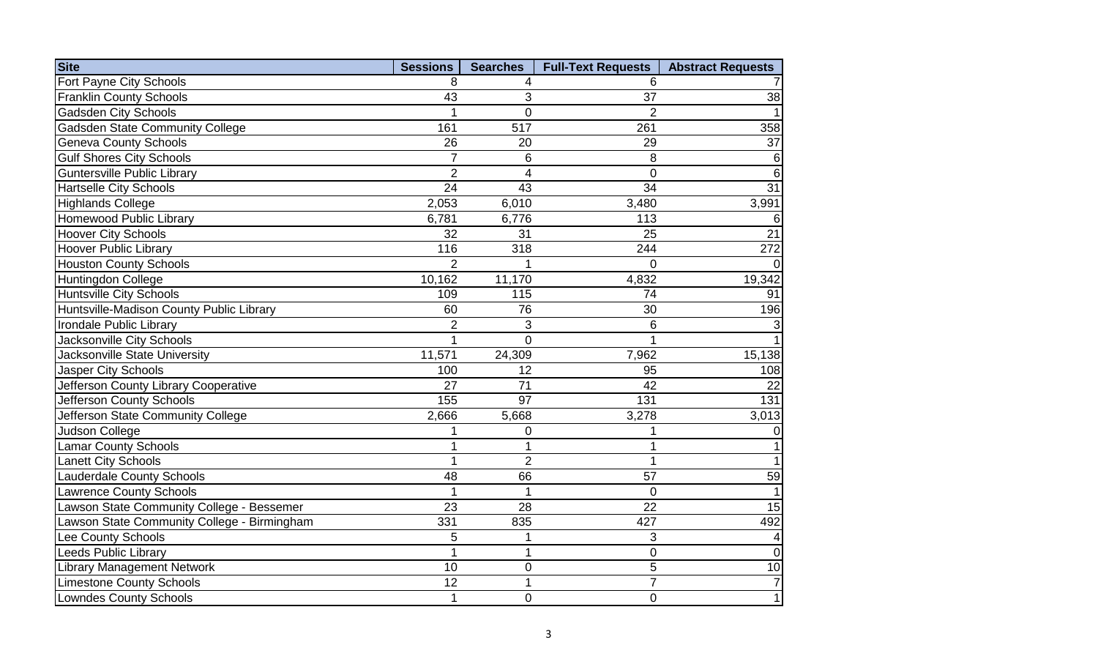| <b>Site</b>                                 | <b>Sessions</b> | <b>Searches</b> | <b>Full-Text Requests</b> | <b>Abstract Requests</b> |
|---------------------------------------------|-----------------|-----------------|---------------------------|--------------------------|
| Fort Payne City Schools                     | 8               | 4               | 6                         |                          |
| <b>Franklin County Schools</b>              | 43              | 3               | 37                        | $\overline{38}$          |
| <b>Gadsden City Schools</b>                 |                 | $\overline{0}$  | $\overline{2}$            |                          |
| <b>Gadsden State Community College</b>      | 161             | 517             | 261                       | 358                      |
| <b>Geneva County Schools</b>                | 26              | 20              | 29                        | 37                       |
| <b>Gulf Shores City Schools</b>             | $\overline{7}$  | 6               | 8                         | 6                        |
| Guntersville Public Library                 | $\overline{2}$  | $\overline{4}$  | $\Omega$                  | 6                        |
| <b>Hartselle City Schools</b>               | $\overline{24}$ | 43              | $\overline{34}$           | $\overline{31}$          |
| <b>Highlands College</b>                    | 2,053           | 6,010           | 3,480                     | 3,991                    |
| Homewood Public Library                     | 6,781           | 6,776           | 113                       | 6                        |
| <b>Hoover City Schools</b>                  | 32              | 31              | 25                        | $\overline{21}$          |
| Hoover Public Library                       | 116             | 318             | 244                       | 272                      |
| <b>Houston County Schools</b>               | $\overline{2}$  | 1               | $\overline{0}$            |                          |
| <b>Huntingdon College</b>                   | 10,162          | 11,170          | 4,832                     | 19,342                   |
| <b>Huntsville City Schools</b>              | 109             | 115             | 74                        | 91                       |
| Huntsville-Madison County Public Library    | 60              | 76              | 30                        | 196                      |
| Irondale Public Library                     | $\overline{2}$  | 3               | 6                         |                          |
| Jacksonville City Schools                   |                 | $\overline{0}$  |                           |                          |
| Jacksonville State University               | 11,571          | 24,309          | 7,962                     | 15,138                   |
| Jasper City Schools                         | 100             | 12              | 95                        | 108                      |
| Jefferson County Library Cooperative        | 27              | 71              | 42                        | 22                       |
| Jefferson County Schools                    | 155             | 97              | 131                       | 131                      |
| Jefferson State Community College           | 2,666           | 5,668           | 3,278                     | 3,013                    |
| Judson College                              |                 | $\overline{0}$  |                           |                          |
| Lamar County Schools                        |                 | 1               | 1                         |                          |
| <b>Lanett City Schools</b>                  | $\overline{1}$  | $\overline{2}$  | 1                         |                          |
| <b>Lauderdale County Schools</b>            | 48              | 66              | 57                        | 59                       |
| <b>Lawrence County Schools</b>              |                 | $\mathbf 1$     | $\Omega$                  |                          |
| Lawson State Community College - Bessemer   | 23              | 28              | 22                        | 15                       |
| Lawson State Community College - Birmingham | 331             | 835             | 427                       | 492                      |
| Lee County Schools                          | 5               | 1               | 3                         |                          |
| Leeds Public Library                        |                 | 1               | $\overline{0}$            | $\Omega$                 |
| <b>Library Management Network</b>           | 10              | $\mathbf 0$     | 5                         | 10                       |
| <b>Limestone County Schools</b>             | 12              | 1               | $\overline{7}$            |                          |
| <b>Lowndes County Schools</b>               | $\overline{1}$  | $\overline{0}$  | $\overline{0}$            |                          |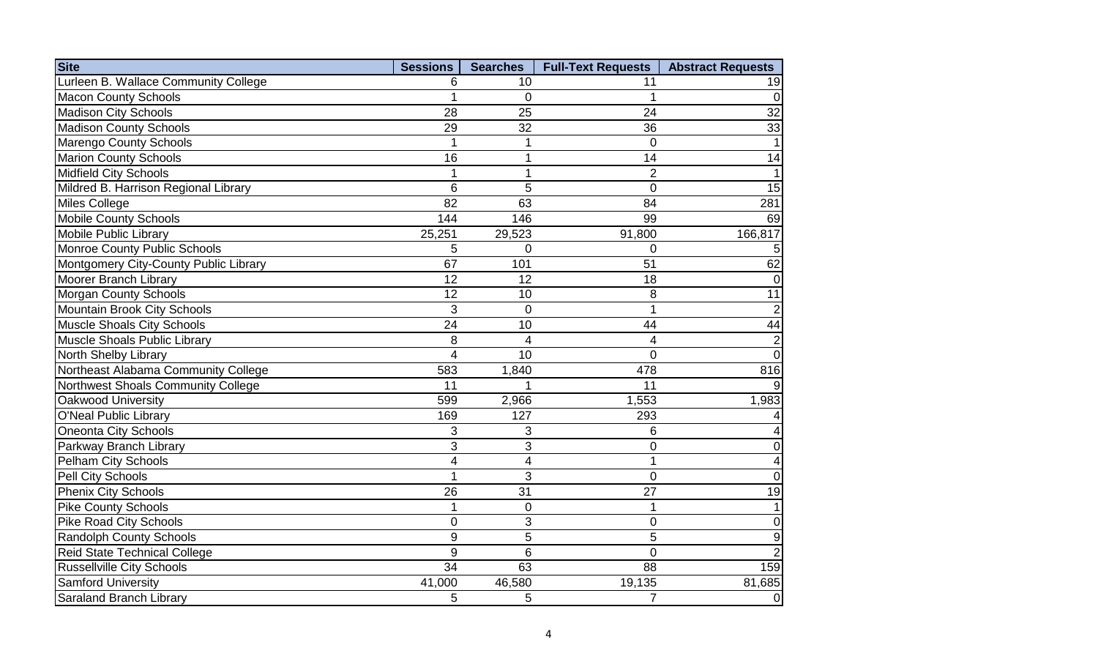| <b>Site</b>                           | <b>Sessions</b> | <b>Searches</b> | <b>Full-Text Requests</b> | <b>Abstract Requests</b> |
|---------------------------------------|-----------------|-----------------|---------------------------|--------------------------|
| Lurleen B. Wallace Community College  | 6               | 10              | 11                        | 19                       |
| <b>Macon County Schools</b>           |                 | $\Omega$        |                           | $\overline{0}$           |
| <b>Madison City Schools</b>           | 28              | 25              | 24                        | 32                       |
| <b>Madison County Schools</b>         | 29              | 32              | 36                        | 33                       |
| Marengo County Schools                |                 | 1               | $\overline{0}$            |                          |
| <b>Marion County Schools</b>          | 16              | 1               | 14                        | 14                       |
| <b>Midfield City Schools</b>          |                 | $\mathbf 1$     | $\overline{2}$            |                          |
| Mildred B. Harrison Regional Library  | 6               | 5               | $\overline{0}$            | 15                       |
| <b>Miles College</b>                  | 82              | 63              | 84                        | 281                      |
| <b>Mobile County Schools</b>          | 144             | 146             | 99                        | 69                       |
| Mobile Public Library                 | 25,251          | 29,523          | 91,800                    | 166,817                  |
| Monroe County Public Schools          | 5               | $\overline{0}$  | $\overline{0}$            |                          |
| Montgomery City-County Public Library | 67              | 101             | 51                        | 62                       |
| Moorer Branch Library                 | 12              | 12              | 18                        | $\Omega$                 |
| <b>Morgan County Schools</b>          | 12              | 10              | 8                         | 11                       |
| Mountain Brook City Schools           | 3               | $\overline{0}$  | 1                         | $\overline{c}$           |
| <b>Muscle Shoals City Schools</b>     | 24              | 10              | 44                        | 44                       |
| Muscle Shoals Public Library          | 8               | $\overline{4}$  | 4                         | $\overline{2}$           |
| North Shelby Library                  | 4               | 10              | $\overline{0}$            | $\overline{0}$           |
| Northeast Alabama Community College   | 583             | 1,840           | 478                       | 816                      |
| Northwest Shoals Community College    | 11              |                 | 11                        |                          |
| Oakwood University                    | 599             | 2,966           | 1,553                     | 1,983                    |
| O'Neal Public Library                 | 169             | 127             | 293                       |                          |
| <b>Oneonta City Schools</b>           | 3               | 3               | 6                         | 4                        |
| Parkway Branch Library                | 3               | 3               | $\overline{0}$            | $\overline{0}$           |
| <b>Pelham City Schools</b>            | 4               | $\overline{4}$  | 1                         | 4                        |
| Pell City Schools                     |                 | 3               | $\overline{0}$            | $\overline{0}$           |
| <b>Phenix City Schools</b>            | 26              | 31              | 27                        | 19                       |
| <b>Pike County Schools</b>            | 1               | $\mathbf 0$     | 1                         | 1                        |
| <b>Pike Road City Schools</b>         | 0               | 3               | $\overline{0}$            | $\mathbf 0$              |
| <b>Randolph County Schools</b>        | 9               | 5               | 5                         | 9                        |
| Reid State Technical College          | 9               | 6               | $\Omega$                  |                          |
| <b>Russellville City Schools</b>      | 34              | 63              | 88                        | 159                      |
| <b>Samford University</b>             | 41,000          | 46,580          | 19,135                    | 81,685                   |
| <b>Saraland Branch Library</b>        | 5               | 5               | $\overline{7}$            | $\overline{0}$           |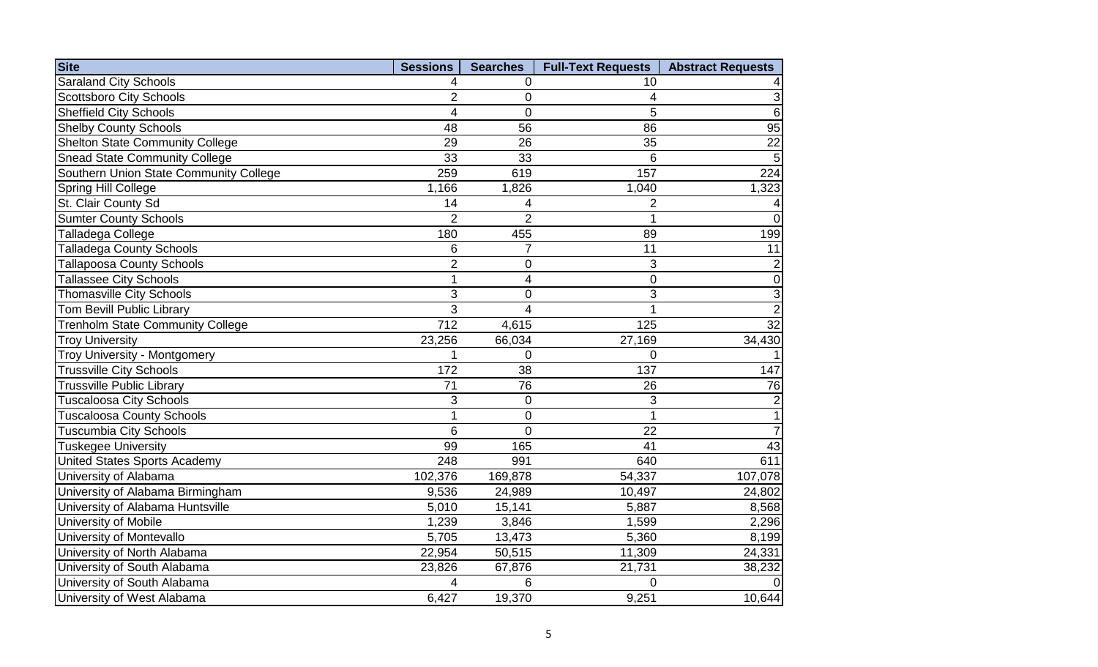| <b>Site</b>                             | <b>Sessions</b> | <b>Searches</b>         | <b>Full-Text Requests</b> | <b>Abstract Requests</b> |
|-----------------------------------------|-----------------|-------------------------|---------------------------|--------------------------|
| <b>Saraland City Schools</b>            | 4               | $\overline{0}$          | 10                        |                          |
| <b>Scottsboro City Schools</b>          | $\overline{2}$  | $\mathbf 0$             | 4                         | $\mathbf{3}$             |
| <b>Sheffield City Schools</b>           | 4               | $\overline{0}$          | 5                         | $6\phantom{1}6$          |
| <b>Shelby County Schools</b>            | 48              | 56                      | 86                        | 95                       |
| <b>Shelton State Community College</b>  | 29              | 26                      | 35                        | 22                       |
| <b>Snead State Community College</b>    | 33              | 33                      | 6                         | 5                        |
| Southern Union State Community College  | 259             | 619                     | 157                       | $\overline{224}$         |
| Spring Hill College                     | 1,166           | 1,826                   | 1,040                     | 1,323                    |
| St. Clair County Sd                     | 14              | 4                       | $\overline{2}$            |                          |
| <b>Sumter County Schools</b>            | $\overline{2}$  | $\overline{2}$          | 1                         | $\Omega$                 |
| Talladega College                       | 180             | 455                     | 89                        | 199                      |
| <b>Talladega County Schools</b>         | 6               | $\overline{7}$          | 11                        | 11                       |
| <b>Tallapoosa County Schools</b>        | $\overline{2}$  | $\mathbf 0$             | 3                         | $\overline{2}$           |
| <b>Tallassee City Schools</b>           | $\mathbf{1}$    | $\overline{\mathbf{4}}$ | $\mathbf 0$               | $\overline{0}$           |
| <b>Thomasville City Schools</b>         | 3               | $\mathbf 0$             | 3                         | 3                        |
| <b>Tom Bevill Public Library</b>        | 3               | 4                       | 1                         | $\overline{2}$           |
| <b>Trenholm State Community College</b> | 712             | 4,615                   | 125                       | $\overline{32}$          |
| <b>Troy University</b>                  | 23,256          | 66,034                  | 27,169                    | 34,430                   |
| <b>Troy University - Montgomery</b>     |                 | $\overline{0}$          | $\overline{0}$            |                          |
| <b>Trussville City Schools</b>          | 172             | 38                      | 137                       | 147                      |
| <b>Trussville Public Library</b>        | 71              | 76                      | 26                        | 76                       |
| <b>Tuscaloosa City Schools</b>          | 3               | $\mathbf 0$             | 3                         |                          |
| <b>Tuscaloosa County Schools</b>        |                 | $\overline{0}$          | $\overline{1}$            |                          |
| <b>Tuscumbia City Schools</b>           | 6               | $\overline{0}$          | 22                        | $\overline{7}$           |
| Tuskegee University                     | 99              | 165                     | 41                        | 43                       |
| <b>United States Sports Academy</b>     | 248             | 991                     | 640                       | 611                      |
| University of Alabama                   | 102,376         | 169,878                 | 54,337                    | 107,078                  |
| University of Alabama Birmingham        | 9,536           | 24,989                  | 10,497                    | 24,802                   |
| University of Alabama Huntsville        | 5,010           | 15,141                  | 5,887                     | 8,568                    |
| University of Mobile                    | 1,239           | 3,846                   | 1,599                     | 2,296                    |
| University of Montevallo                | 5,705           | 13,473                  | 5,360                     | 8,199                    |
| University of North Alabama             | 22,954          | 50,515                  | 11,309                    | 24,331                   |
| University of South Alabama             | 23,826          | 67,876                  | 21,731                    | 38,232                   |
| University of South Alabama             | 4               | 6                       | $\overline{0}$            |                          |
| University of West Alabama              | 6,427           | 19,370                  | 9,251                     | 10,644                   |